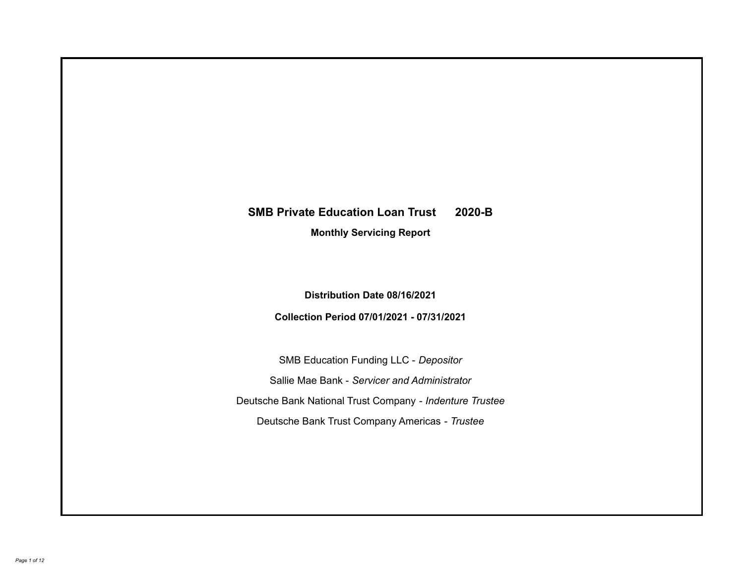# **SMB Private Education Loan Trust 2020-B**

**Monthly Servicing Report**

**Distribution Date 08/16/2021**

**Collection Period 07/01/2021 - 07/31/2021**

SMB Education Funding LLC - *Depositor* Sallie Mae Bank - *Servicer and Administrator* Deutsche Bank National Trust Company - *Indenture Trustee* Deutsche Bank Trust Company Americas - *Trustee*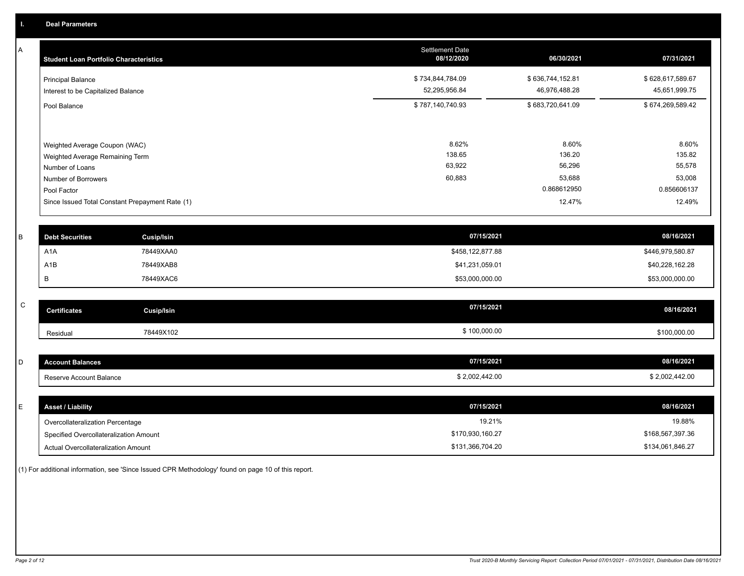A

| <b>Student Loan Portfolio Characteristics</b>                                                                                                                                | <b>Settlement Date</b><br>08/12/2020 | 06/30/2021                                                   | 07/31/2021                                                   |
|------------------------------------------------------------------------------------------------------------------------------------------------------------------------------|--------------------------------------|--------------------------------------------------------------|--------------------------------------------------------------|
| <b>Principal Balance</b><br>Interest to be Capitalized Balance                                                                                                               | \$734,844,784.09<br>52,295,956.84    | \$636,744,152.81<br>46,976,488.28                            | \$628,617,589.67<br>45,651,999.75                            |
| Pool Balance                                                                                                                                                                 | \$787,140,740.93                     | \$683,720,641.09                                             | \$674,269,589.42                                             |
| Weighted Average Coupon (WAC)<br>Weighted Average Remaining Term<br>Number of Loans<br>Number of Borrowers<br>Pool Factor<br>Since Issued Total Constant Prepayment Rate (1) | 8.62%<br>138.65<br>63,922<br>60,883  | 8.60%<br>136.20<br>56,296<br>53,688<br>0.868612950<br>12.47% | 8.60%<br>135.82<br>55,578<br>53,008<br>0.856606137<br>12.49% |

| <b>Debt Securities</b> | <b>Cusip/Isin</b> | 07/15/2021       | 08/16/2021       |
|------------------------|-------------------|------------------|------------------|
| A <sub>1</sub> A       | 78449XAA0         | \$458,122,877.88 | \$446,979,580.87 |
| A1B                    | 78449XAB8         | \$41,231,059.01  | \$40,228,162.28  |
|                        | 78449XAC6         | \$53,000,000.00  | \$53,000,000.00  |

| $\sim$<br>u | <b>Certificates</b> | Cusip/Isin | 07/15/2021 | 08/16/2021   |
|-------------|---------------------|------------|------------|--------------|
|             | Residual            | 78449X102  | 100,000.00 | \$100,000.00 |

| <b>Account Balances</b> | 07/15/2021     | 08/16/2021     |
|-------------------------|----------------|----------------|
| Reserve Account Balance | \$2,002,442.00 | \$2,002,442.00 |

| <b>Asset / Liability</b>               | 07/15/2021       | 08/16/2021       |
|----------------------------------------|------------------|------------------|
| Overcollateralization Percentage       | 19.21%           | 19.88%           |
| Specified Overcollateralization Amount | \$170,930,160.27 | \$168,567,397.36 |
| Actual Overcollateralization Amount    | \$131,366,704.20 | \$134,061,846.27 |

(1) For additional information, see 'Since Issued CPR Methodology' found on page 10 of this report.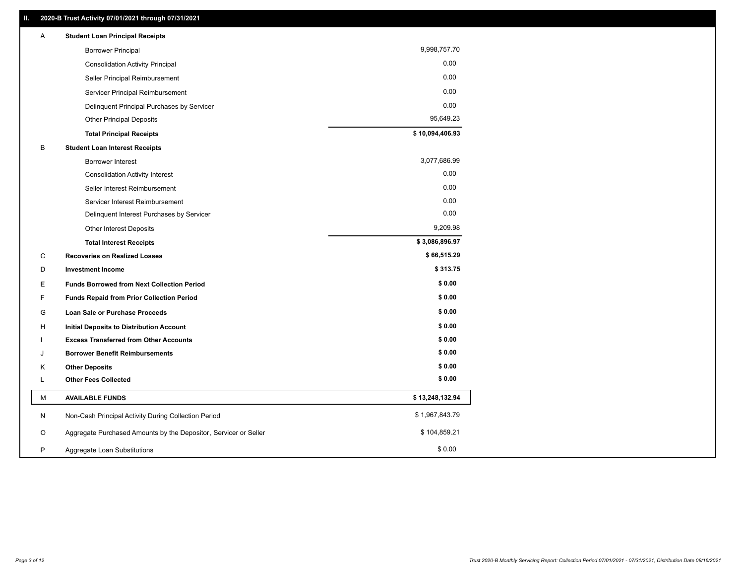| Α | <b>Student Loan Principal Receipts</b>                           |                 |
|---|------------------------------------------------------------------|-----------------|
|   | <b>Borrower Principal</b>                                        | 9,998,757.70    |
|   | <b>Consolidation Activity Principal</b>                          | 0.00            |
|   | Seller Principal Reimbursement                                   | 0.00            |
|   | Servicer Principal Reimbursement                                 | 0.00            |
|   | Delinquent Principal Purchases by Servicer                       | 0.00            |
|   | <b>Other Principal Deposits</b>                                  | 95,649.23       |
|   | <b>Total Principal Receipts</b>                                  | \$10,094,406.93 |
| В | <b>Student Loan Interest Receipts</b>                            |                 |
|   | <b>Borrower Interest</b>                                         | 3,077,686.99    |
|   | <b>Consolidation Activity Interest</b>                           | 0.00            |
|   | Seller Interest Reimbursement                                    | 0.00            |
|   | Servicer Interest Reimbursement                                  | 0.00            |
|   | Delinquent Interest Purchases by Servicer                        | 0.00            |
|   | Other Interest Deposits                                          | 9,209.98        |
|   | <b>Total Interest Receipts</b>                                   | \$3,086,896.97  |
| С | <b>Recoveries on Realized Losses</b>                             | \$66,515.29     |
| D | <b>Investment Income</b>                                         | \$313.75        |
| Е | <b>Funds Borrowed from Next Collection Period</b>                | \$0.00          |
| F | <b>Funds Repaid from Prior Collection Period</b>                 | \$0.00          |
| G | Loan Sale or Purchase Proceeds                                   | \$0.00          |
| н | <b>Initial Deposits to Distribution Account</b>                  | \$0.00          |
|   | <b>Excess Transferred from Other Accounts</b>                    | \$0.00          |
| J | <b>Borrower Benefit Reimbursements</b>                           | \$0.00          |
| Κ | <b>Other Deposits</b>                                            | \$0.00          |
| L | <b>Other Fees Collected</b>                                      | \$0.00          |
| М | <b>AVAILABLE FUNDS</b>                                           | \$13,248,132.94 |
| N | Non-Cash Principal Activity During Collection Period             | \$1,967,843.79  |
| O | Aggregate Purchased Amounts by the Depositor, Servicer or Seller | \$104,859.21    |
| P | Aggregate Loan Substitutions                                     | \$0.00          |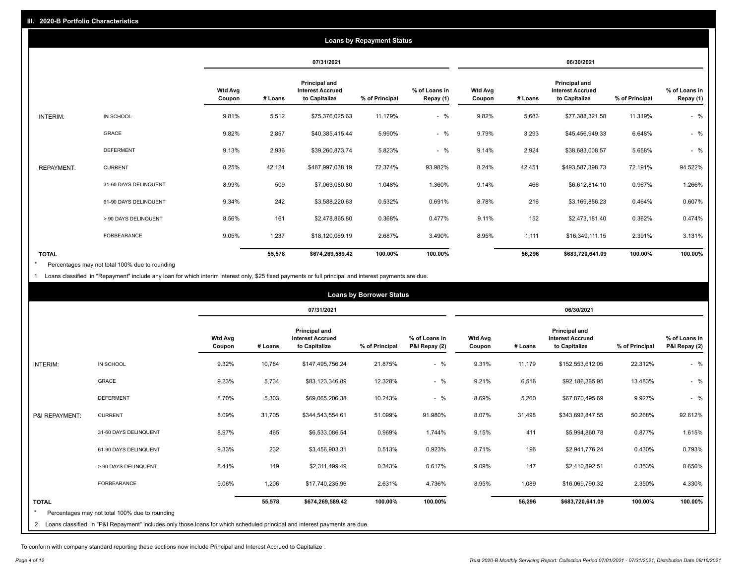|                   |                       |                   |         |                                                           | <b>Loans by Repayment Status</b> |                            |                          |         |                                                           |                |                            |
|-------------------|-----------------------|-------------------|---------|-----------------------------------------------------------|----------------------------------|----------------------------|--------------------------|---------|-----------------------------------------------------------|----------------|----------------------------|
|                   |                       |                   |         | 07/31/2021                                                |                                  |                            |                          |         | 06/30/2021                                                |                |                            |
|                   |                       | Wtd Avg<br>Coupon | # Loans | Principal and<br><b>Interest Accrued</b><br>to Capitalize | % of Principal                   | % of Loans in<br>Repay (1) | <b>Wtd Avg</b><br>Coupon | # Loans | Principal and<br><b>Interest Accrued</b><br>to Capitalize | % of Principal | % of Loans in<br>Repay (1) |
| INTERIM:          | IN SCHOOL             | 9.81%             | 5,512   | \$75,376,025.63                                           | 11.179%                          | $-$ %                      | 9.82%                    | 5,683   | \$77,388,321.58                                           | 11.319%        | $-$ %                      |
|                   | <b>GRACE</b>          | 9.82%             | 2,857   | \$40,385,415.44                                           | 5.990%                           | $-$ %                      | 9.79%                    | 3,293   | \$45,456,949.33                                           | 6.648%         | $-$ %                      |
|                   | <b>DEFERMENT</b>      | 9.13%             | 2,936   | \$39,260,873.74                                           | 5.823%                           | $-$ %                      | 9.14%                    | 2,924   | \$38,683,008.57                                           | 5.658%         | $-$ %                      |
| <b>REPAYMENT:</b> | <b>CURRENT</b>        | 8.25%             | 42,124  | \$487,997,038.19                                          | 72.374%                          | 93.982%                    | 8.24%                    | 42,451  | \$493,587,398.73                                          | 72.191%        | 94.522%                    |
|                   | 31-60 DAYS DELINQUENT | 8.99%             | 509     | \$7,063,080.80                                            | 1.048%                           | 1.360%                     | 9.14%                    | 466     | \$6,612,814.10                                            | 0.967%         | 1.266%                     |
|                   | 61-90 DAYS DELINQUENT | 9.34%             | 242     | \$3,588,220.63                                            | 0.532%                           | 0.691%                     | 8.78%                    | 216     | \$3,169,856.23                                            | 0.464%         | 0.607%                     |
|                   | > 90 DAYS DELINQUENT  | 8.56%             | 161     | \$2,478,865.80                                            | 0.368%                           | 0.477%                     | 9.11%                    | 152     | \$2,473,181.40                                            | 0.362%         | 0.474%                     |
|                   | <b>FORBEARANCE</b>    | 9.05%             | 1,237   | \$18,120,069.19                                           | 2.687%                           | 3.490%                     | 8.95%                    | 1,111   | \$16,349,111.15                                           | 2.391%         | 3.131%                     |
| <b>TOTAL</b>      |                       |                   | 55,578  | \$674,269,589.42                                          | 100.00%                          | 100.00%                    |                          | 56,296  | \$683,720,641.09                                          | 100.00%        | 100.00%                    |

Percentages may not total 100% due to rounding  $\pmb{\ast}$ 

1 Loans classified in "Repayment" include any loan for which interim interest only, \$25 fixed payments or full principal and interest payments are due.

|                |                                                                                                                            |                          |         |                                                                  | <b>Loans by Borrower Status</b> |                                |                          |         |                                                           |                |                                |
|----------------|----------------------------------------------------------------------------------------------------------------------------|--------------------------|---------|------------------------------------------------------------------|---------------------------------|--------------------------------|--------------------------|---------|-----------------------------------------------------------|----------------|--------------------------------|
|                |                                                                                                                            |                          |         | 07/31/2021                                                       |                                 |                                |                          |         | 06/30/2021                                                |                |                                |
|                |                                                                                                                            | <b>Wtd Avg</b><br>Coupon | # Loans | <b>Principal and</b><br><b>Interest Accrued</b><br>to Capitalize | % of Principal                  | % of Loans in<br>P&I Repay (2) | <b>Wtd Avg</b><br>Coupon | # Loans | Principal and<br><b>Interest Accrued</b><br>to Capitalize | % of Principal | % of Loans in<br>P&I Repay (2) |
| INTERIM:       | IN SCHOOL                                                                                                                  | 9.32%                    | 10,784  | \$147,495,756.24                                                 | 21.875%                         | $-$ %                          | 9.31%                    | 11,179  | \$152,553,612.05                                          | 22.312%        | $-$ %                          |
|                | <b>GRACE</b>                                                                                                               | 9.23%                    | 5,734   | \$83,123,346.89                                                  | 12.328%                         | $-$ %                          | 9.21%                    | 6,516   | \$92,186,365.95                                           | 13.483%        | $-$ %                          |
|                | <b>DEFERMENT</b>                                                                                                           | 8.70%                    | 5,303   | \$69,065,206.38                                                  | 10.243%                         | $-$ %                          | 8.69%                    | 5,260   | \$67,870,495.69                                           | 9.927%         | $-$ %                          |
| P&I REPAYMENT: | <b>CURRENT</b>                                                                                                             | 8.09%                    | 31,705  | \$344,543,554.61                                                 | 51.099%                         | 91.980%                        | 8.07%                    | 31,498  | \$343,692,847.55                                          | 50.268%        | 92.612%                        |
|                | 31-60 DAYS DELINQUENT                                                                                                      | 8.97%                    | 465     | \$6,533,086.54                                                   | 0.969%                          | 1.744%                         | 9.15%                    | 411     | \$5,994,860.78                                            | 0.877%         | 1.615%                         |
|                | 61-90 DAYS DELINQUENT                                                                                                      | 9.33%                    | 232     | \$3,456,903.31                                                   | 0.513%                          | 0.923%                         | 8.71%                    | 196     | \$2,941,776.24                                            | 0.430%         | 0.793%                         |
|                | > 90 DAYS DELINQUENT                                                                                                       | 8.41%                    | 149     | \$2,311,499.49                                                   | 0.343%                          | 0.617%                         | 9.09%                    | 147     | \$2,410,892.51                                            | 0.353%         | 0.650%                         |
|                | FORBEARANCE                                                                                                                | 9.06%                    | 1,206   | \$17,740,235.96                                                  | 2.631%                          | 4.736%                         | 8.95%                    | 1,089   | \$16,069,790.32                                           | 2.350%         | 4.330%                         |
| <b>TOTAL</b>   |                                                                                                                            |                          | 55,578  | \$674,269,589.42                                                 | 100.00%                         | 100.00%                        |                          | 56,296  | \$683,720,641.09                                          | 100.00%        | 100.00%                        |
|                | Percentages may not total 100% due to rounding                                                                             |                          |         |                                                                  |                                 |                                |                          |         |                                                           |                |                                |
| $\overline{2}$ | Loans classified in "P&I Repayment" includes only those loans for which scheduled principal and interest payments are due. |                          |         |                                                                  |                                 |                                |                          |         |                                                           |                |                                |

To conform with company standard reporting these sections now include Principal and Interest Accrued to Capitalize .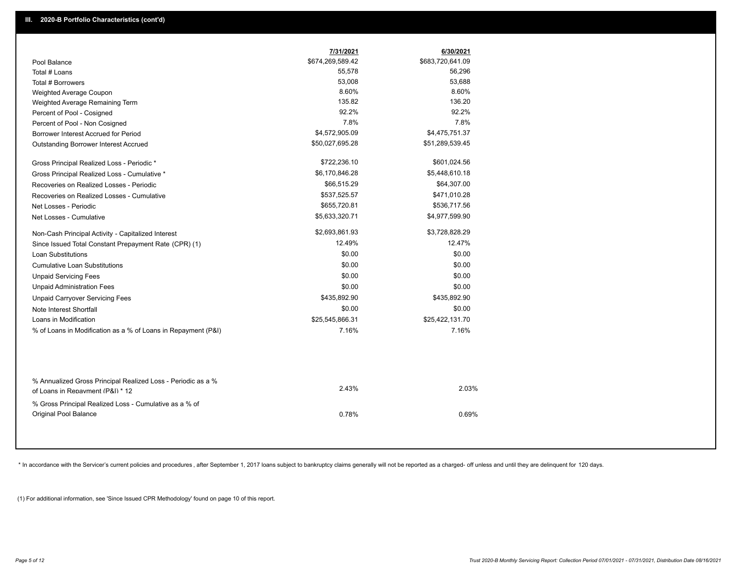|                                                                                                  | 7/31/2021                  | 6/30/2021                  |  |
|--------------------------------------------------------------------------------------------------|----------------------------|----------------------------|--|
| Pool Balance                                                                                     | \$674,269,589.42<br>55,578 | \$683,720,641.09<br>56,296 |  |
| Total # Loans                                                                                    |                            |                            |  |
| Total # Borrowers                                                                                | 53,008<br>8.60%            | 53,688<br>8.60%            |  |
| Weighted Average Coupon                                                                          | 135.82                     | 136.20                     |  |
| Weighted Average Remaining Term                                                                  | 92.2%                      | 92.2%                      |  |
| Percent of Pool - Cosigned                                                                       |                            |                            |  |
| Percent of Pool - Non Cosigned                                                                   | 7.8%                       | 7.8%                       |  |
| Borrower Interest Accrued for Period                                                             | \$4,572,905.09             | \$4,475,751.37             |  |
| Outstanding Borrower Interest Accrued                                                            | \$50,027,695.28            | \$51,289,539.45            |  |
| Gross Principal Realized Loss - Periodic *                                                       | \$722,236.10               | \$601,024.56               |  |
| Gross Principal Realized Loss - Cumulative *                                                     | \$6,170,846.28             | \$5,448,610.18             |  |
| Recoveries on Realized Losses - Periodic                                                         | \$66,515.29                | \$64,307.00                |  |
| Recoveries on Realized Losses - Cumulative                                                       | \$537,525.57               | \$471,010.28               |  |
| Net Losses - Periodic                                                                            | \$655,720.81               | \$536,717.56               |  |
| Net Losses - Cumulative                                                                          | \$5,633,320.71             | \$4,977,599.90             |  |
| Non-Cash Principal Activity - Capitalized Interest                                               | \$2,693,861.93             | \$3,728,828.29             |  |
| Since Issued Total Constant Prepayment Rate (CPR) (1)                                            | 12.49%                     | 12.47%                     |  |
| <b>Loan Substitutions</b>                                                                        | \$0.00                     | \$0.00                     |  |
| <b>Cumulative Loan Substitutions</b>                                                             | \$0.00                     | \$0.00                     |  |
| <b>Unpaid Servicing Fees</b>                                                                     | \$0.00                     | \$0.00                     |  |
| <b>Unpaid Administration Fees</b>                                                                | \$0.00                     | \$0.00                     |  |
| <b>Unpaid Carryover Servicing Fees</b>                                                           | \$435,892.90               | \$435,892.90               |  |
| Note Interest Shortfall                                                                          | \$0.00                     | \$0.00                     |  |
| Loans in Modification                                                                            | \$25,545,866.31            | \$25,422,131.70            |  |
| % of Loans in Modification as a % of Loans in Repayment (P&I)                                    | 7.16%                      | 7.16%                      |  |
|                                                                                                  |                            |                            |  |
| % Annualized Gross Principal Realized Loss - Periodic as a %<br>of Loans in Repayment (P&I) * 12 | 2.43%                      | 2.03%                      |  |

% Gross Principal Realized Loss - Cumulative as a % of Original Pool Balance 0.78% 0.69%

\* In accordance with the Servicer's current policies and procedures, after September 1, 2017 loans subject to bankruptcy claims generally will not be reported as a charged- off unless and until they are delinquent for 120

(1) For additional information, see 'Since Issued CPR Methodology' found on page 10 of this report.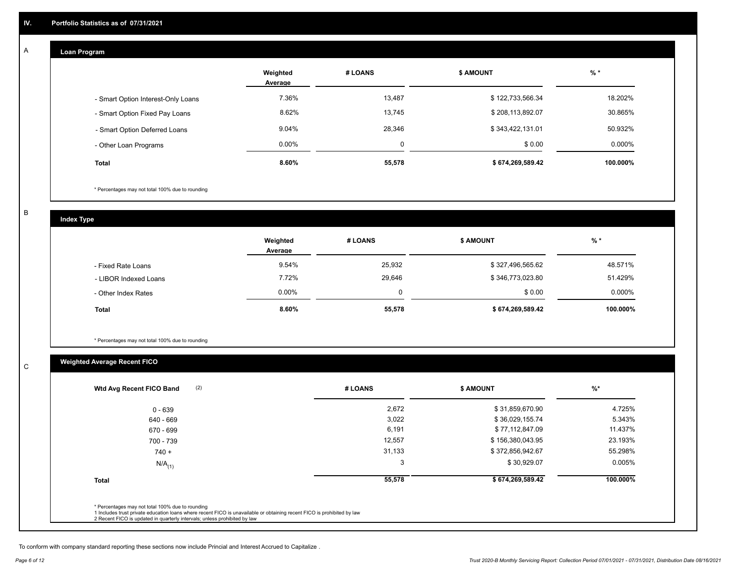#### **Loan Program**  A

|                                    | Weighted<br>Average | # LOANS  | <b>\$ AMOUNT</b> | $%$ *    |
|------------------------------------|---------------------|----------|------------------|----------|
| - Smart Option Interest-Only Loans | 7.36%               | 13,487   | \$122,733,566.34 | 18.202%  |
| - Smart Option Fixed Pay Loans     | 8.62%               | 13,745   | \$208,113,892.07 | 30.865%  |
| - Smart Option Deferred Loans      | 9.04%               | 28,346   | \$343,422,131.01 | 50.932%  |
| - Other Loan Programs              | $0.00\%$            | $\Omega$ | \$0.00           | 0.000%   |
| Total                              | 8.60%               | 55,578   | \$674,269,589.42 | 100.000% |

\* Percentages may not total 100% due to rounding

B

C

**Index Type**

|                       | Weighted<br>Average | # LOANS  | <b>\$ AMOUNT</b> | % *      |
|-----------------------|---------------------|----------|------------------|----------|
| - Fixed Rate Loans    | 9.54%               | 25,932   | \$327,496,565.62 | 48.571%  |
| - LIBOR Indexed Loans | 7.72%               | 29,646   | \$346,773,023.80 | 51.429%  |
| - Other Index Rates   | $0.00\%$            | $\Omega$ | \$0.00           | 0.000%   |
| <b>Total</b>          | 8.60%               | 55,578   | \$674,269,589.42 | 100.000% |

\* Percentages may not total 100% due to rounding

## **Weighted Average Recent FICO**

| 0 - 639<br>640 - 669 | 2,672  | \$31,859,670.90  | 4.725%   |
|----------------------|--------|------------------|----------|
|                      |        |                  |          |
|                      | 3,022  | \$36,029,155.74  | 5.343%   |
| 670 - 699            | 6,191  | \$77,112,847.09  | 11.437%  |
| 700 - 739            | 12,557 | \$156,380,043.95 | 23.193%  |
| $740 +$              | 31,133 | \$372,856,942.67 | 55.298%  |
| $N/A$ <sub>(1)</sub> | 3      | \$30,929.07      | 0.005%   |
| <b>Total</b>         | 55,578 | \$674,269,589.42 | 100.000% |

To conform with company standard reporting these sections now include Princial and Interest Accrued to Capitalize .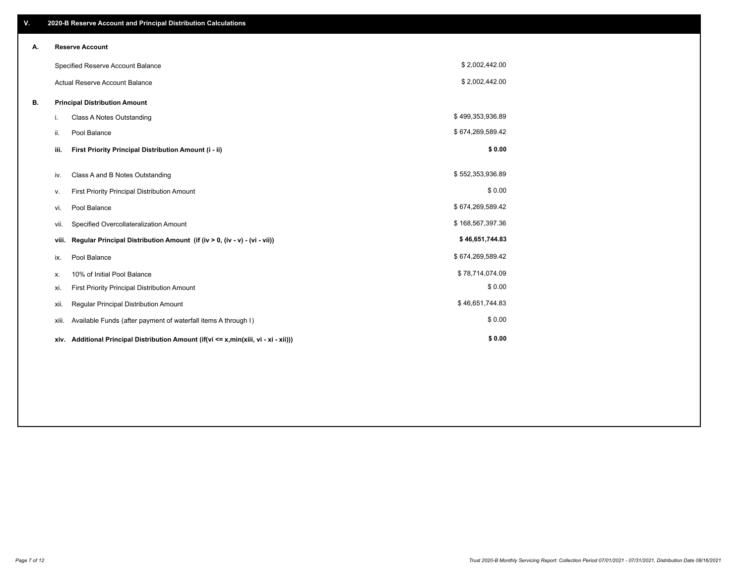| V. |                                      | 2020-B Reserve Account and Principal Distribution Calculations                       |                  |  |  |
|----|--------------------------------------|--------------------------------------------------------------------------------------|------------------|--|--|
| А. |                                      | <b>Reserve Account</b>                                                               |                  |  |  |
|    |                                      | Specified Reserve Account Balance                                                    | \$2,002,442.00   |  |  |
|    |                                      | <b>Actual Reserve Account Balance</b>                                                | \$2,002,442.00   |  |  |
| В. | <b>Principal Distribution Amount</b> |                                                                                      |                  |  |  |
|    | i.                                   | Class A Notes Outstanding                                                            | \$499,353,936.89 |  |  |
|    | ii.                                  | Pool Balance                                                                         | \$674,269,589.42 |  |  |
|    | iii.                                 | First Priority Principal Distribution Amount (i - ii)                                | \$0.00           |  |  |
|    | iv.                                  | Class A and B Notes Outstanding                                                      | \$552,353,936.89 |  |  |
|    | ۷.                                   | First Priority Principal Distribution Amount                                         | \$0.00           |  |  |
|    | vi.                                  | Pool Balance                                                                         | \$674,269,589.42 |  |  |
|    | vii.                                 | Specified Overcollateralization Amount                                               | \$168,567,397.36 |  |  |
|    | viii.                                | Regular Principal Distribution Amount (if (iv > 0, (iv - v) - (vi - vii))            | \$46,651,744.83  |  |  |
|    | ix.                                  | Pool Balance                                                                         | \$674,269,589.42 |  |  |
|    | х.                                   | 10% of Initial Pool Balance                                                          | \$78,714,074.09  |  |  |
|    | xi.                                  | First Priority Principal Distribution Amount                                         | \$0.00           |  |  |
|    | xii.                                 | Regular Principal Distribution Amount                                                | \$46,651,744.83  |  |  |
|    | XIII.                                | Available Funds (after payment of waterfall items A through I)                       | \$0.00           |  |  |
|    |                                      | xiv. Additional Principal Distribution Amount (if(vi <= x,min(xiii, vi - xi - xii))) | \$0.00           |  |  |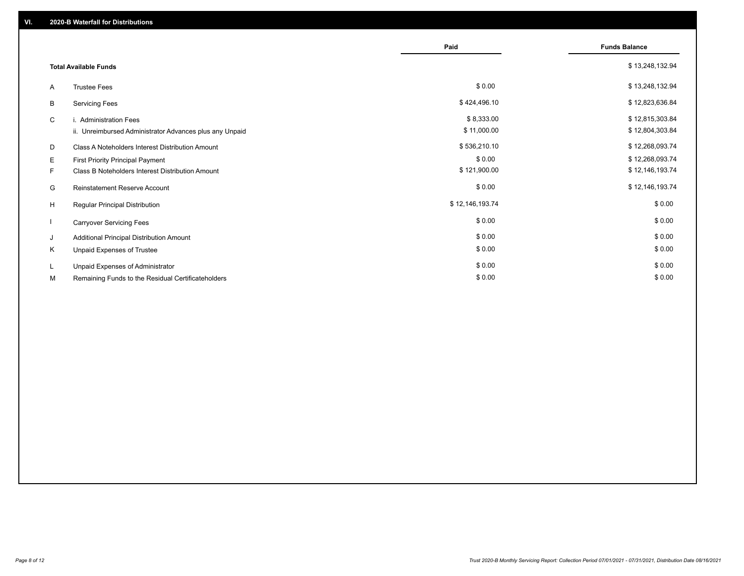|                              |                                                         | Paid            |                      |
|------------------------------|---------------------------------------------------------|-----------------|----------------------|
|                              |                                                         |                 | <b>Funds Balance</b> |
| <b>Total Available Funds</b> |                                                         |                 | \$13,248,132.94      |
| A                            | <b>Trustee Fees</b>                                     | \$0.00          | \$13,248,132.94      |
| B                            | <b>Servicing Fees</b>                                   | \$424,496.10    | \$12,823,636.84      |
| C                            | i. Administration Fees                                  | \$8,333.00      | \$12,815,303.84      |
|                              | ii. Unreimbursed Administrator Advances plus any Unpaid | \$11,000.00     | \$12,804,303.84      |
| D                            | Class A Noteholders Interest Distribution Amount        | \$536,210.10    | \$12,268,093.74      |
| E.                           | First Priority Principal Payment                        | \$0.00          | \$12,268,093.74      |
| F.                           | Class B Noteholders Interest Distribution Amount        | \$121,900.00    | \$12,146,193.74      |
| G                            | Reinstatement Reserve Account                           | \$0.00          | \$12,146,193.74      |
| H                            | Regular Principal Distribution                          | \$12,146,193.74 | \$0.00               |
|                              | <b>Carryover Servicing Fees</b>                         | \$0.00          | \$0.00               |
| J                            | Additional Principal Distribution Amount                | \$0.00          | \$0.00               |
| K                            | Unpaid Expenses of Trustee                              | \$0.00          | \$0.00               |
| L                            | Unpaid Expenses of Administrator                        | \$0.00          | \$0.00               |
| М                            | Remaining Funds to the Residual Certificateholders      | \$0.00          | \$0.00               |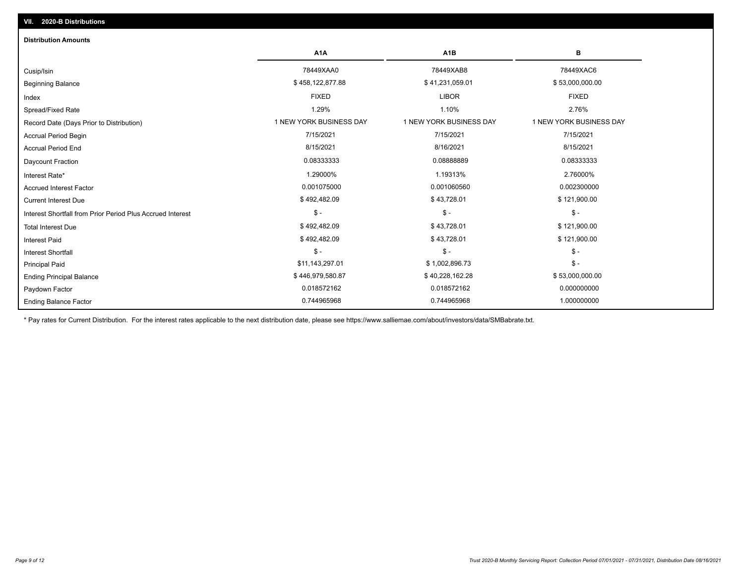| <b>Distribution Amounts</b>                                |                         |                         |                         |
|------------------------------------------------------------|-------------------------|-------------------------|-------------------------|
|                                                            | A <sub>1</sub> A        | A <sub>1</sub> B        | в                       |
| Cusip/Isin                                                 | 78449XAA0               | 78449XAB8               | 78449XAC6               |
| <b>Beginning Balance</b>                                   | \$458,122,877.88        | \$41,231,059.01         | \$53,000,000.00         |
| Index                                                      | <b>FIXED</b>            | <b>LIBOR</b>            | <b>FIXED</b>            |
| Spread/Fixed Rate                                          | 1.29%                   | 1.10%                   | 2.76%                   |
| Record Date (Days Prior to Distribution)                   | 1 NEW YORK BUSINESS DAY | 1 NEW YORK BUSINESS DAY | 1 NEW YORK BUSINESS DAY |
| Accrual Period Begin                                       | 7/15/2021               | 7/15/2021               | 7/15/2021               |
| <b>Accrual Period End</b>                                  | 8/15/2021               | 8/16/2021               | 8/15/2021               |
| Daycount Fraction                                          | 0.08333333              | 0.08888889              | 0.08333333              |
| Interest Rate*                                             | 1.29000%                | 1.19313%                | 2.76000%                |
| <b>Accrued Interest Factor</b>                             | 0.001075000             | 0.001060560             | 0.002300000             |
| <b>Current Interest Due</b>                                | \$492,482.09            | \$43,728.01             | \$121,900.00            |
| Interest Shortfall from Prior Period Plus Accrued Interest | $\mathcal{S}$ -         | $$ -$                   | $\mathsf{\$}$ -         |
| <b>Total Interest Due</b>                                  | \$492,482.09            | \$43,728.01             | \$121,900.00            |
| <b>Interest Paid</b>                                       | \$492,482.09            | \$43,728.01             | \$121,900.00            |
| <b>Interest Shortfall</b>                                  | $\mathcal{S}$ -         | $$ -$                   | $$ -$                   |
| <b>Principal Paid</b>                                      | \$11,143,297.01         | \$1,002,896.73          | $$ -$                   |
| <b>Ending Principal Balance</b>                            | \$446,979,580.87        | \$40,228,162.28         | \$53,000,000.00         |
| Paydown Factor                                             | 0.018572162             | 0.018572162             | 0.000000000             |
| <b>Ending Balance Factor</b>                               | 0.744965968             | 0.744965968             | 1.000000000             |

\* Pay rates for Current Distribution. For the interest rates applicable to the next distribution date, please see https://www.salliemae.com/about/investors/data/SMBabrate.txt.

**VII. 2020-B Distributions**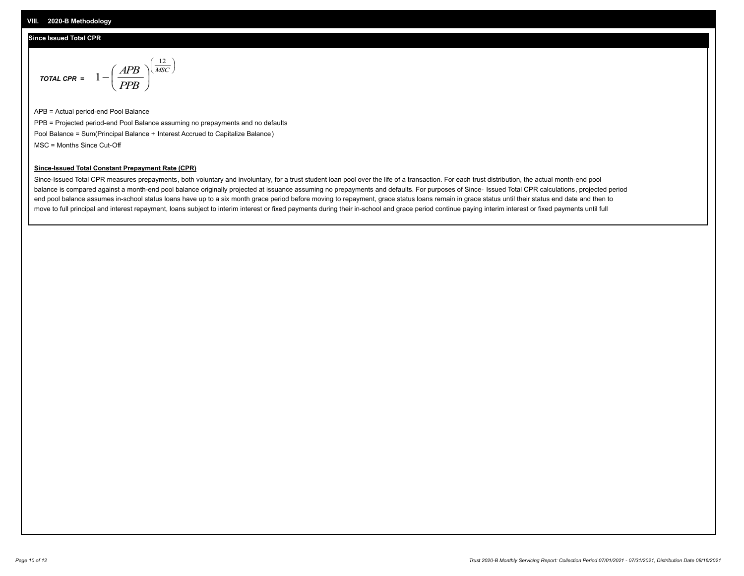#### **Since Issued Total CPR**

$$
\text{total CPR} = 1 - \left(\frac{APB}{PPB}\right)^{\left(\frac{12}{MSC}\right)}
$$

APB = Actual period-end Pool Balance PPB = Projected period-end Pool Balance assuming no prepayments and no defaults Pool Balance = Sum(Principal Balance + Interest Accrued to Capitalize Balance) MSC = Months Since Cut-Off

#### **Since-Issued Total Constant Prepayment Rate (CPR)**

Since-Issued Total CPR measures prepayments, both voluntary and involuntary, for a trust student loan pool over the life of a transaction. For each trust distribution, the actual month-end pool balance is compared against a month-end pool balance originally projected at issuance assuming no prepayments and defaults. For purposes of Since- Issued Total CPR calculations, projected period end pool balance assumes in-school status loans have up to a six month grace period before moving to repayment, grace status loans remain in grace status until their status end date and then to move to full principal and interest repayment, loans subject to interim interest or fixed payments during their in-school and grace period continue paying interim interest or fixed payments until full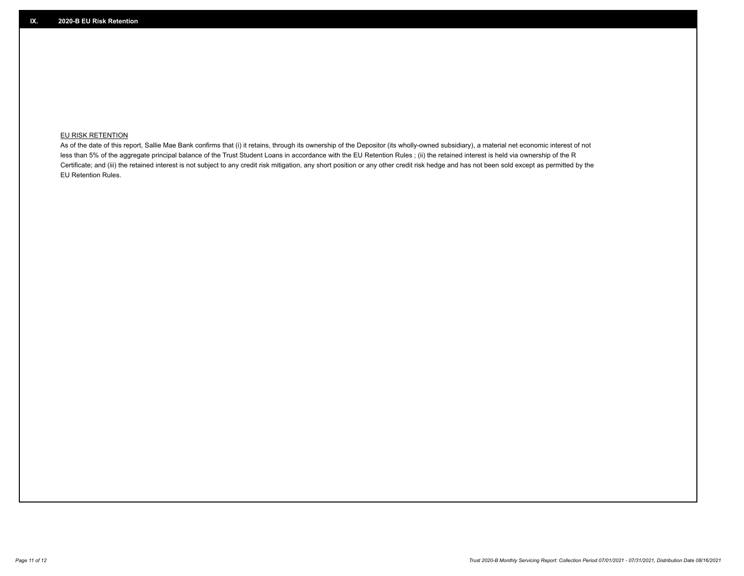### **EU RISK RETENTION**

As of the date of this report, Sallie Mae Bank confirms that (i) it retains, through its ownership of the Depositor (its wholly-owned subsidiary), a material net economic interest of not less than 5% of the aggregate principal balance of the Trust Student Loans in accordance with the EU Retention Rules ; (ii) the retained interest is held via ownership of the R Certificate; and (iii) the retained interest is not subject to any credit risk mitigation, any short position or any other credit risk hedge and has not been sold except as permitted by the EU Retention Rules.